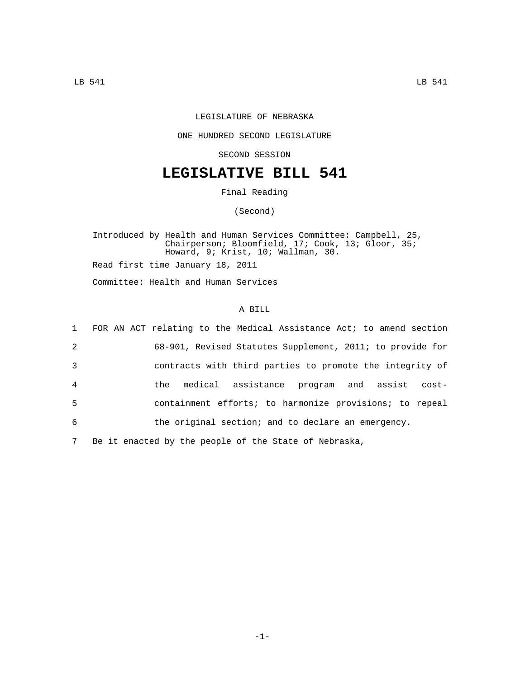## LEGISLATURE OF NEBRASKA

## ONE HUNDRED SECOND LEGISLATURE

SECOND SESSION

## **LEGISLATIVE BILL 541**

Final Reading

(Second)

Introduced by Health and Human Services Committee: Campbell, 25, Chairperson; Bloomfield, 17; Cook, 13; Gloor, 35; Howard, 9; Krist, 10; Wallman, 30. Read first time January 18, 2011

Committee: Health and Human Services

## A BILL

|                | 1 FOR AN ACT relating to the Medical Assistance Act; to amend section |
|----------------|-----------------------------------------------------------------------|
| 2              | 68-901, Revised Statutes Supplement, 2011; to provide for             |
| 3              | contracts with third parties to promote the integrity of              |
| $\overline{4}$ | medical assistance program and assist cost-<br>the                    |
| 5              | containment efforts; to harmonize provisions; to repeal               |
| 6              | the original section; and to declare an emergency.                    |
|                |                                                                       |

7 Be it enacted by the people of the State of Nebraska,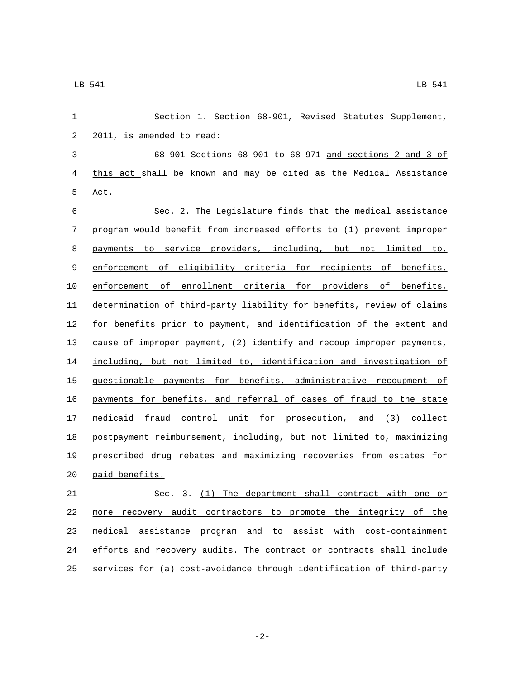| 1          | Section 1. Section 68-901, Revised Statutes Supplement,               |
|------------|-----------------------------------------------------------------------|
| $\sqrt{2}$ | 2011, is amended to read:                                             |
| 3          | 68-901 Sections 68-901 to 68-971 and sections 2 and 3 of              |
| 4          | this act shall be known and may be cited as the Medical Assistance    |
| 5          | Act.                                                                  |
| 6          | Sec. 2. The Legislature finds that the medical assistance             |
| 7          | program would benefit from increased efforts to (1) prevent improper  |
| 8          | payments to service providers, including, but not limited to,         |
| 9          | enforcement of eligibility criteria for recipients of benefits,       |
| 10         | enforcement of enrollment criteria for providers of benefits,         |
| 11         | determination of third-party liability for benefits, review of claims |
| 12         | for benefits prior to payment, and identification of the extent and   |
| 13         | cause of improper payment, (2) identify and recoup improper payments, |
| 14         | including, but not limited to, identification and investigation of    |
| 15         | guestionable payments for benefits, administrative recoupment of      |
| 16         | payments for benefits, and referral of cases of fraud to the state    |
| 17         | medicaid fraud control unit for prosecution, and (3) collect          |
| 18         | postpayment reimbursement, including, but not limited to, maximizing  |
| 19         | prescribed drug rebates and maximizing recoveries from estates for    |
| 20         | paid benefits.                                                        |
| 21         | Sec. 3. (1) The department shall contract with one or                 |
| 22         | more recovery audit contractors to promote the integrity of the       |
| 23         | medical assistance program and to assist with cost-containment        |
| 24         | efforts and recovery audits. The contract or contracts shall include  |
| 25         | services for (a) cost-avoidance through identification of third-party |

-2-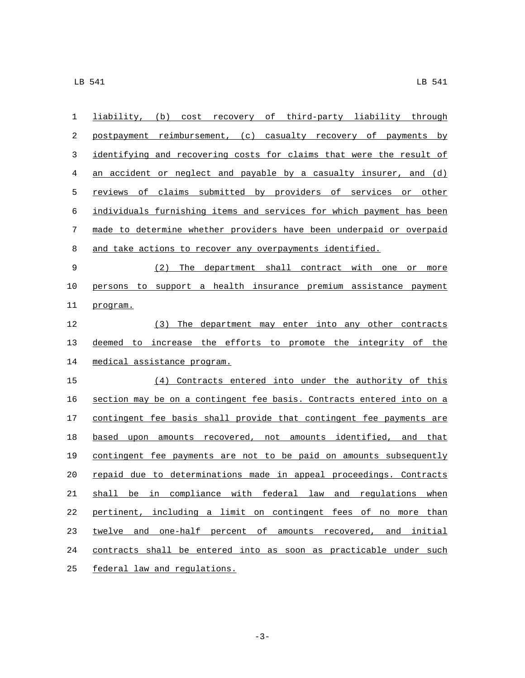| 1  | liability, (b) cost recovery of third-party liability through         |
|----|-----------------------------------------------------------------------|
| 2  | postpayment reimbursement, (c) casualty recovery of payments by       |
| 3  | identifying and recovering costs for claims that were the result of   |
| 4  | an accident or neglect and payable by a casualty insurer, and $(d)$   |
| 5  | reviews of claims submitted by providers of services or other         |
| 6  | individuals furnishing items and services for which payment has been  |
| 7  | made to determine whether providers have been underpaid or overpaid   |
| 8  | and take actions to recover any overpayments identified.              |
| 9  | (2) The department shall contract with one or more                    |
| 10 | persons to support a health insurance premium assistance payment      |
| 11 | program.                                                              |
| 12 | (3) The department may enter into any other contracts                 |
| 13 | deemed to increase the efforts to promote the integrity of the        |
| 14 | medical assistance program.                                           |
| 15 | (4) Contracts entered into under the authority of this                |
| 16 | section may be on a contingent fee basis. Contracts entered into on a |
| 17 | contingent fee basis shall provide that contingent fee payments are   |
| 18 | based upon amounts recovered, not amounts identified, and that        |
| 19 | contingent fee payments are not to be paid on amounts subsequently    |
| 20 | repaid due to determinations made in appeal proceedings. Contracts    |
| 21 | shall be in compliance with federal law and regulations when          |
| 22 | pertinent, including a limit on contingent fees of no more than       |
| 23 | twelve and one-half percent of amounts recovered, and initial         |
| 24 | contracts shall be entered into as soon as practicable under such     |
| 25 | federal law and regulations.                                          |

-3-